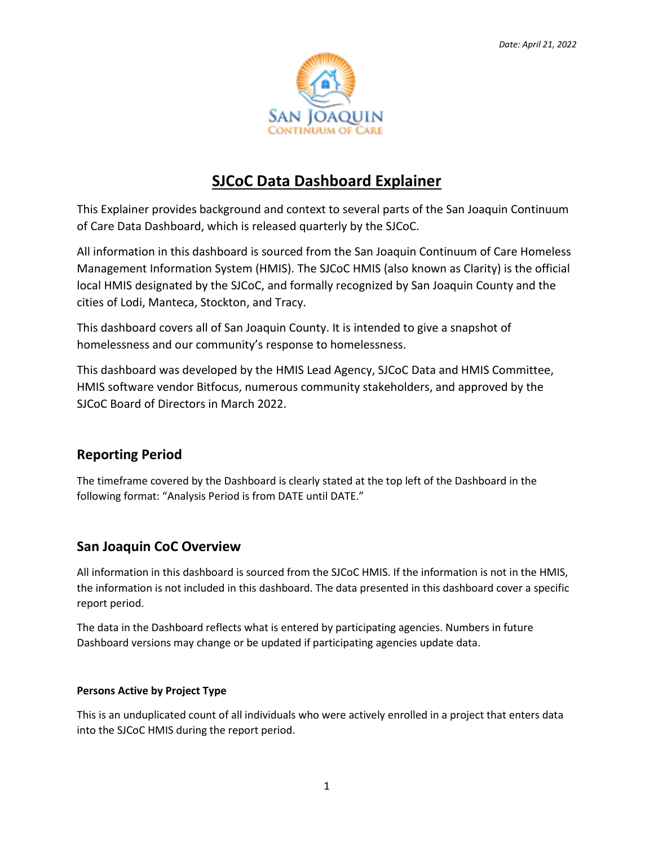

# **SJCoC Data Dashboard Explainer**

This Explainer provides background and context to several parts of the San Joaquin Continuum of Care Data Dashboard, which is released quarterly by the SJCoC.

All information in this dashboard is sourced from the San Joaquin Continuum of Care Homeless Management Information System (HMIS). The SJCoC HMIS (also known as Clarity) is the official local HMIS designated by the SJCoC, and formally recognized by San Joaquin County and the cities of Lodi, Manteca, Stockton, and Tracy.

This dashboard covers all of San Joaquin County. It is intended to give a snapshot of homelessness and our community's response to homelessness.

This dashboard was developed by the HMIS Lead Agency, SJCoC Data and HMIS Committee, HMIS software vendor Bitfocus, numerous community stakeholders, and approved by the SJCoC Board of Directors in March 2022.

# **Reporting Period**

The timeframe covered by the Dashboard is clearly stated at the top left of the Dashboard in the following format: "Analysis Period is from DATE until DATE."

# **San Joaquin CoC Overview**

All information in this dashboard is sourced from the SJCoC HMIS. If the information is not in the HMIS, the information is not included in this dashboard. The data presented in this dashboard cover a specific report period.

The data in the Dashboard reflects what is entered by participating agencies. Numbers in future Dashboard versions may change or be updated if participating agencies update data.

# **Persons Active by Project Type**

This is an unduplicated count of all individuals who were actively enrolled in a project that enters data into the SJCoC HMIS during the report period.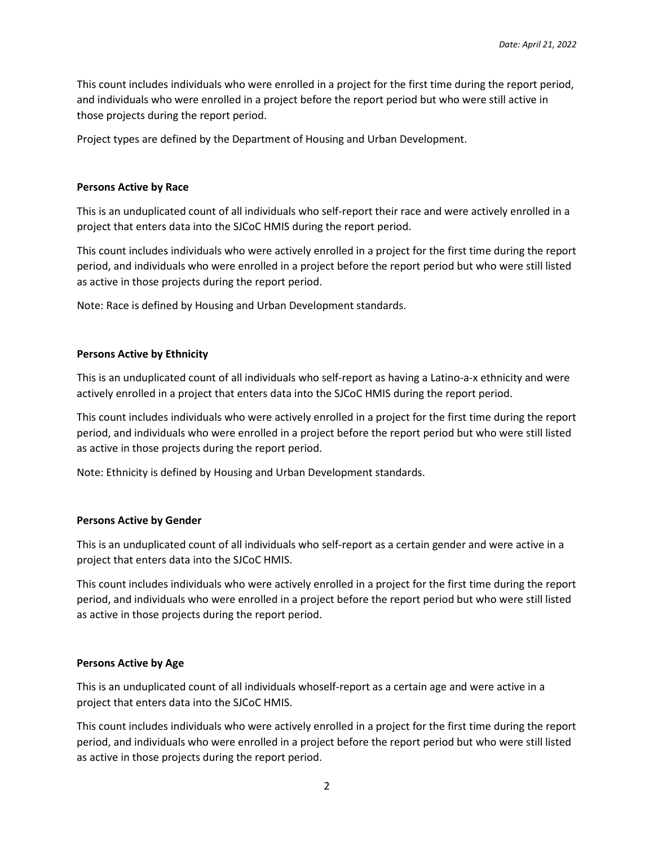This count includes individuals who were enrolled in a project for the first time during the report period, and individuals who were enrolled in a project before the report period but who were still active in those projects during the report period.

Project types are defined by the Department of Housing and Urban Development.

### **Persons Active by Race**

This is an unduplicated count of all individuals who self-report their race and were actively enrolled in a project that enters data into the SJCoC HMIS during the report period.

This count includes individuals who were actively enrolled in a project for the first time during the report period, and individuals who were enrolled in a project before the report period but who were still listed as active in those projects during the report period.

Note: Race is defined by Housing and Urban Development standards.

#### **Persons Active by Ethnicity**

This is an unduplicated count of all individuals who self-report as having a Latino-a-x ethnicity and were actively enrolled in a project that enters data into the SJCoC HMIS during the report period.

This count includes individuals who were actively enrolled in a project for the first time during the report period, and individuals who were enrolled in a project before the report period but who were still listed as active in those projects during the report period.

Note: Ethnicity is defined by Housing and Urban Development standards.

#### **Persons Active by Gender**

This is an unduplicated count of all individuals who self-report as a certain gender and were active in a project that enters data into the SJCoC HMIS.

This count includes individuals who were actively enrolled in a project for the first time during the report period, and individuals who were enrolled in a project before the report period but who were still listed as active in those projects during the report period.

# **Persons Active by Age**

This is an unduplicated count of all individuals whoself-report as a certain age and were active in a project that enters data into the SJCoC HMIS.

This count includes individuals who were actively enrolled in a project for the first time during the report period, and individuals who were enrolled in a project before the report period but who were still listed as active in those projects during the report period.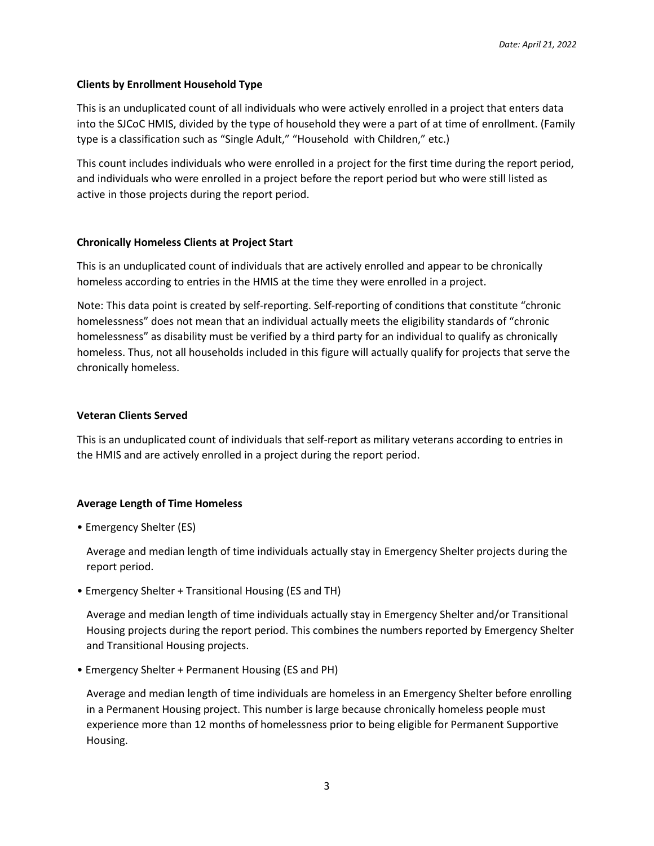# **Clients by Enrollment Household Type**

This is an unduplicated count of all individuals who were actively enrolled in a project that enters data into the SJCoC HMIS, divided by the type of household they were a part of at time of enrollment. (Family type is a classification such as "Single Adult," "Household with Children," etc.)

This count includes individuals who were enrolled in a project for the first time during the report period, and individuals who were enrolled in a project before the report period but who were still listed as active in those projects during the report period.

#### **Chronically Homeless Clients at Project Start**

This is an unduplicated count of individuals that are actively enrolled and appear to be chronically homeless according to entries in the HMIS at the time they were enrolled in a project.

Note: This data point is created by self-reporting. Self-reporting of conditions that constitute "chronic homelessness" does not mean that an individual actually meets the eligibility standards of "chronic homelessness" as disability must be verified by a third party for an individual to qualify as chronically homeless. Thus, not all households included in this figure will actually qualify for projects that serve the chronically homeless.

#### **Veteran Clients Served**

This is an unduplicated count of individuals that self-report as military veterans according to entries in the HMIS and are actively enrolled in a project during the report period.

# **Average Length of Time Homeless**

• Emergency Shelter (ES)

Average and median length of time individuals actually stay in Emergency Shelter projects during the report period.

• Emergency Shelter + Transitional Housing (ES and TH)

Average and median length of time individuals actually stay in Emergency Shelter and/or Transitional Housing projects during the report period. This combines the numbers reported by Emergency Shelter and Transitional Housing projects.

• Emergency Shelter + Permanent Housing (ES and PH)

Average and median length of time individuals are homeless in an Emergency Shelter before enrolling in a Permanent Housing project. This number is large because chronically homeless people must experience more than 12 months of homelessness prior to being eligible for Permanent Supportive Housing.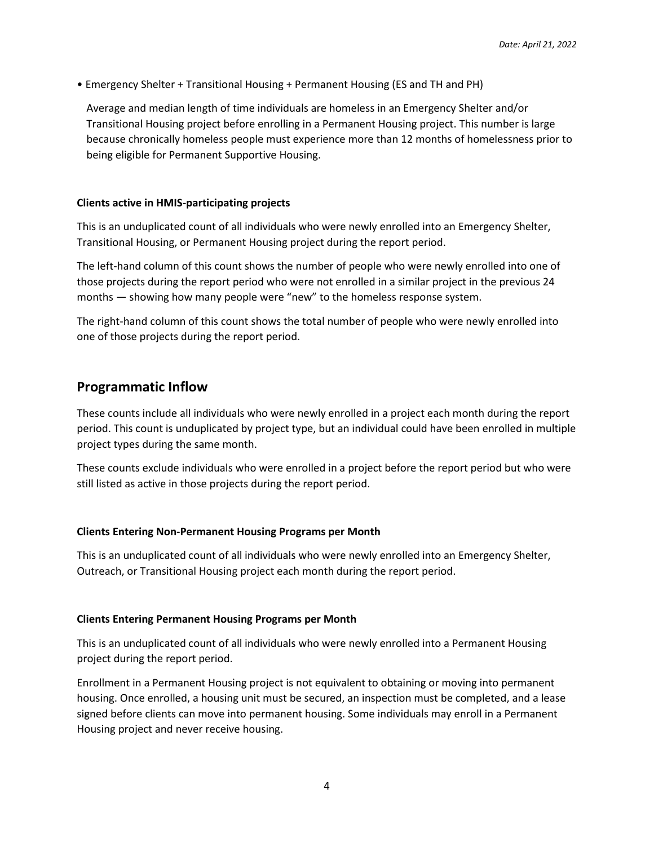• Emergency Shelter + Transitional Housing + Permanent Housing (ES and TH and PH)

Average and median length of time individuals are homeless in an Emergency Shelter and/or Transitional Housing project before enrolling in a Permanent Housing project. This number is large because chronically homeless people must experience more than 12 months of homelessness prior to being eligible for Permanent Supportive Housing.

#### **Clients active in HMIS-participating projects**

This is an unduplicated count of all individuals who were newly enrolled into an Emergency Shelter, Transitional Housing, or Permanent Housing project during the report period.

The left-hand column of this count shows the number of people who were newly enrolled into one of those projects during the report period who were not enrolled in a similar project in the previous 24 months — showing how many people were "new" to the homeless response system.

The right-hand column of this count shows the total number of people who were newly enrolled into one of those projects during the report period.

# **Programmatic Inflow**

These counts include all individuals who were newly enrolled in a project each month during the report period. This count is unduplicated by project type, but an individual could have been enrolled in multiple project types during the same month.

These counts exclude individuals who were enrolled in a project before the report period but who were still listed as active in those projects during the report period.

#### **Clients Entering Non-Permanent Housing Programs per Month**

This is an unduplicated count of all individuals who were newly enrolled into an Emergency Shelter, Outreach, or Transitional Housing project each month during the report period.

#### **Clients Entering Permanent Housing Programs per Month**

This is an unduplicated count of all individuals who were newly enrolled into a Permanent Housing project during the report period.

Enrollment in a Permanent Housing project is not equivalent to obtaining or moving into permanent housing. Once enrolled, a housing unit must be secured, an inspection must be completed, and a lease signed before clients can move into permanent housing. Some individuals may enroll in a Permanent Housing project and never receive housing.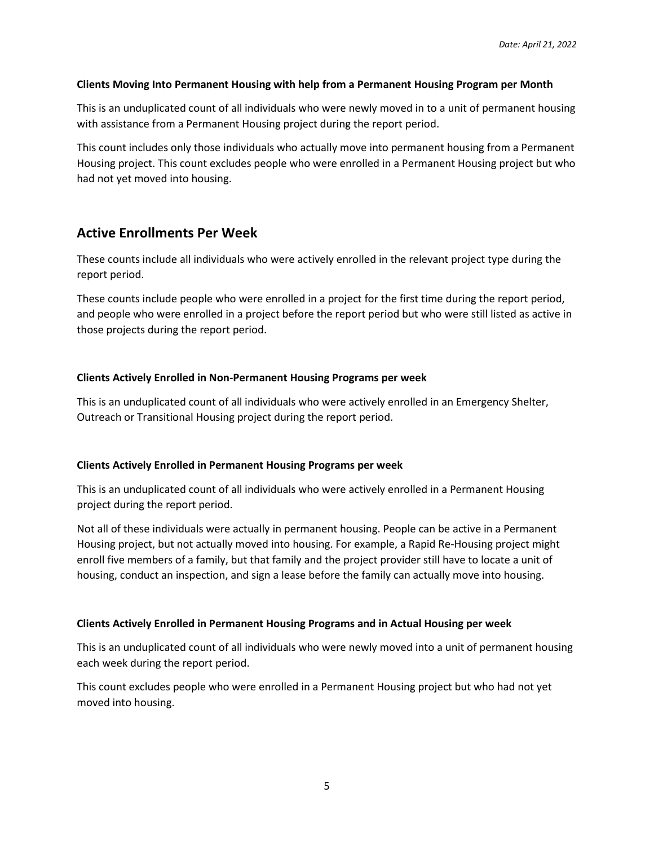### **Clients Moving Into Permanent Housing with help from a Permanent Housing Program per Month**

This is an unduplicated count of all individuals who were newly moved in to a unit of permanent housing with assistance from a Permanent Housing project during the report period.

This count includes only those individuals who actually move into permanent housing from a Permanent Housing project. This count excludes people who were enrolled in a Permanent Housing project but who had not yet moved into housing.

# **Active Enrollments Per Week**

These counts include all individuals who were actively enrolled in the relevant project type during the report period.

These counts include people who were enrolled in a project for the first time during the report period, and people who were enrolled in a project before the report period but who were still listed as active in those projects during the report period.

# **Clients Actively Enrolled in Non-Permanent Housing Programs per week**

This is an unduplicated count of all individuals who were actively enrolled in an Emergency Shelter, Outreach or Transitional Housing project during the report period.

#### **Clients Actively Enrolled in Permanent Housing Programs per week**

This is an unduplicated count of all individuals who were actively enrolled in a Permanent Housing project during the report period.

Not all of these individuals were actually in permanent housing. People can be active in a Permanent Housing project, but not actually moved into housing. For example, a Rapid Re-Housing project might enroll five members of a family, but that family and the project provider still have to locate a unit of housing, conduct an inspection, and sign a lease before the family can actually move into housing.

# **Clients Actively Enrolled in Permanent Housing Programs and in Actual Housing per week**

This is an unduplicated count of all individuals who were newly moved into a unit of permanent housing each week during the report period.

This count excludes people who were enrolled in a Permanent Housing project but who had not yet moved into housing.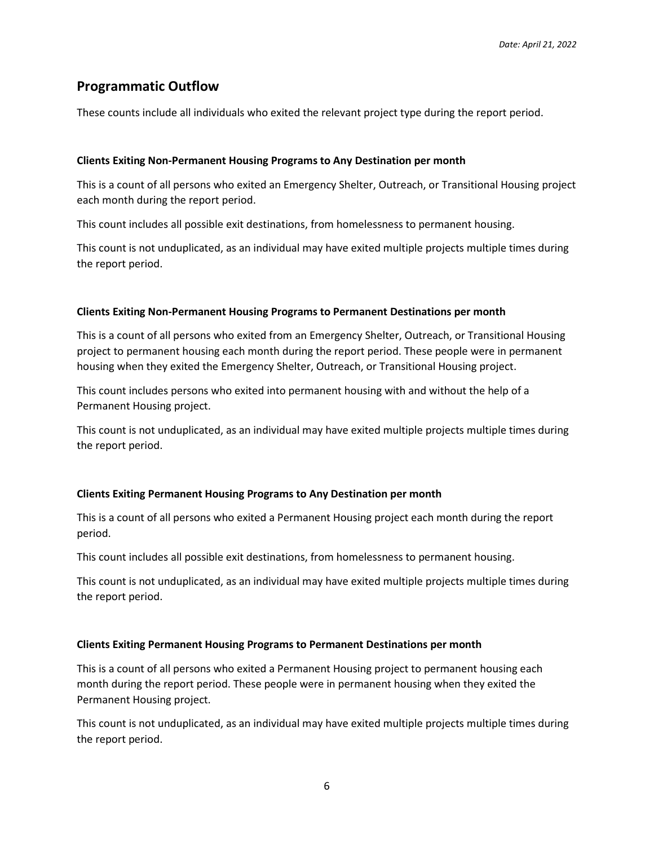# **Programmatic Outflow**

These counts include all individuals who exited the relevant project type during the report period.

#### **Clients Exiting Non-Permanent Housing Programs to Any Destination per month**

This is a count of all persons who exited an Emergency Shelter, Outreach, or Transitional Housing project each month during the report period.

This count includes all possible exit destinations, from homelessness to permanent housing.

This count is not unduplicated, as an individual may have exited multiple projects multiple times during the report period.

#### **Clients Exiting Non-Permanent Housing Programs to Permanent Destinations per month**

This is a count of all persons who exited from an Emergency Shelter, Outreach, or Transitional Housing project to permanent housing each month during the report period. These people were in permanent housing when they exited the Emergency Shelter, Outreach, or Transitional Housing project.

This count includes persons who exited into permanent housing with and without the help of a Permanent Housing project.

This count is not unduplicated, as an individual may have exited multiple projects multiple times during the report period.

# **Clients Exiting Permanent Housing Programs to Any Destination per month**

This is a count of all persons who exited a Permanent Housing project each month during the report period.

This count includes all possible exit destinations, from homelessness to permanent housing.

This count is not unduplicated, as an individual may have exited multiple projects multiple times during the report period.

#### **Clients Exiting Permanent Housing Programs to Permanent Destinations per month**

This is a count of all persons who exited a Permanent Housing project to permanent housing each month during the report period. These people were in permanent housing when they exited the Permanent Housing project.

This count is not unduplicated, as an individual may have exited multiple projects multiple times during the report period.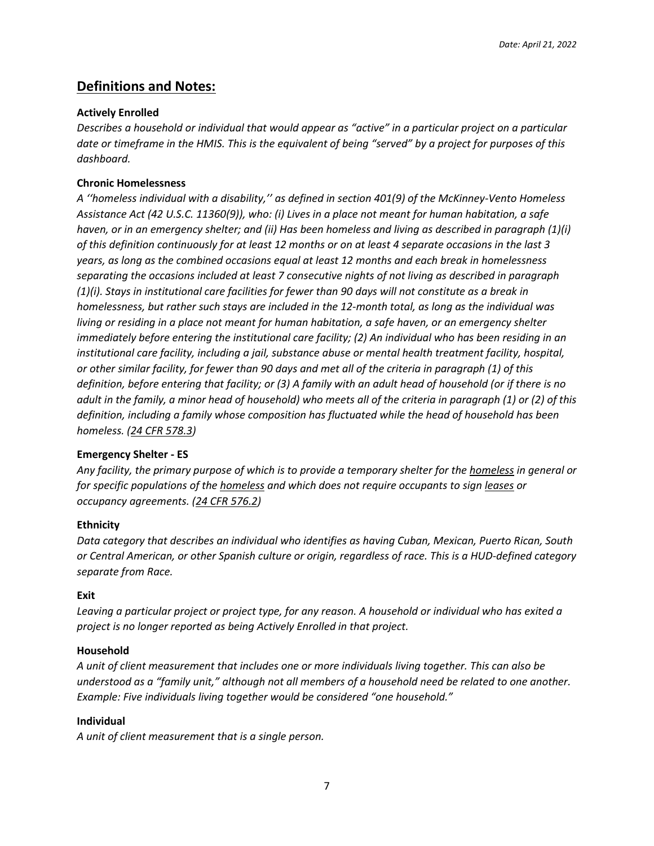# **Definitions and Notes:**

# **Actively Enrolled**

*Describes a household or individual that would appear as "active" in a particular project on a particular date or timeframe in the HMIS. This is the equivalent of being "served" by a project for purposes of this dashboard.*

# **Chronic Homelessness**

*A ''homeless individual with a disability,'' as defined in section 401(9) of the McKinney-Vento Homeless Assistance Act (42 U.S.C. 11360(9)), who: (i) Lives in a place not meant for human habitation, a safe haven, or in an emergency shelter; and (ii) Has been homeless and living as described in paragraph (1)(i) of this definition continuously for at least 12 months or on at least 4 separate occasions in the last 3 years, as long as the combined occasions equal at least 12 months and each break in homelessness separating the occasions included at least 7 consecutive nights of not living as described in paragraph (1)(i). Stays in institutional care facilities for fewer than 90 days will not constitute as a break in homelessness, but rather such stays are included in the 12-month total, as long as the individual was living or residing in a place not meant for human habitation, a safe haven, or an emergency shelter immediately before entering the institutional care facility; (2) An individual who has been residing in an institutional care facility, including a jail, substance abuse or mental health treatment facility, hospital, or other similar facility, for fewer than 90 days and met all of the criteria in paragraph (1) of this definition, before entering that facility; or (3) A family with an adult head of household (or if there is no adult in the family, a minor head of household) who meets all of the criteria in paragraph (1) or (2) of this definition, including a family whose composition has fluctuated while the head of household has been homeless. [\(24 CFR 578.3\)](https://www.law.cornell.edu/cfr/text/24/578.3)* 

# **Emergency Shelter - ES**

*Any facility, the primary purpose of which is to provide a temporary shelter for the [homeless](https://www.law.cornell.edu/definitions/index.php?width=840&height=800&iframe=true&def_id=8a2903afec40afebcdb6176134d13480&term_occur=999&term_src=Title:24:Subtitle:B:Chapter:V:Subchapter:C:Part:576:Subpart:A:576.2) in general or for specific populations of the [homeless](https://www.law.cornell.edu/definitions/index.php?width=840&height=800&iframe=true&def_id=8a2903afec40afebcdb6176134d13480&term_occur=999&term_src=Title:24:Subtitle:B:Chapter:V:Subchapter:C:Part:576:Subpart:A:576.2) and which does not require occupants to sign [leases](https://www.law.cornell.edu/definitions/index.php?width=840&height=800&iframe=true&def_id=d3db88fefc98484b7514761bbdf195b8&term_occur=999&term_src=Title:24:Subtitle:B:Chapter:V:Subchapter:C:Part:576:Subpart:A:576.2) or occupancy agreements. [\(24 CFR 576.2\)](https://www.law.cornell.edu/cfr/text/24/576.2)* 

# **Ethnicity**

*Data category that describes an individual who identifies as having Cuban, Mexican, Puerto Rican, South or Central American, or other Spanish culture or origin, regardless of race. This is a HUD-defined category separate from Race.*

# **Exit**

*Leaving a particular project or project type, for any reason. A household or individual who has exited a project is no longer reported as being Actively Enrolled in that project.* 

# **Household**

*A unit of client measurement that includes one or more individuals living together. This can also be understood as a "family unit," although not all members of a household need be related to one another. Example: Five individuals living together would be considered "one household."*

# **Individual**

*A unit of client measurement that is a single person.*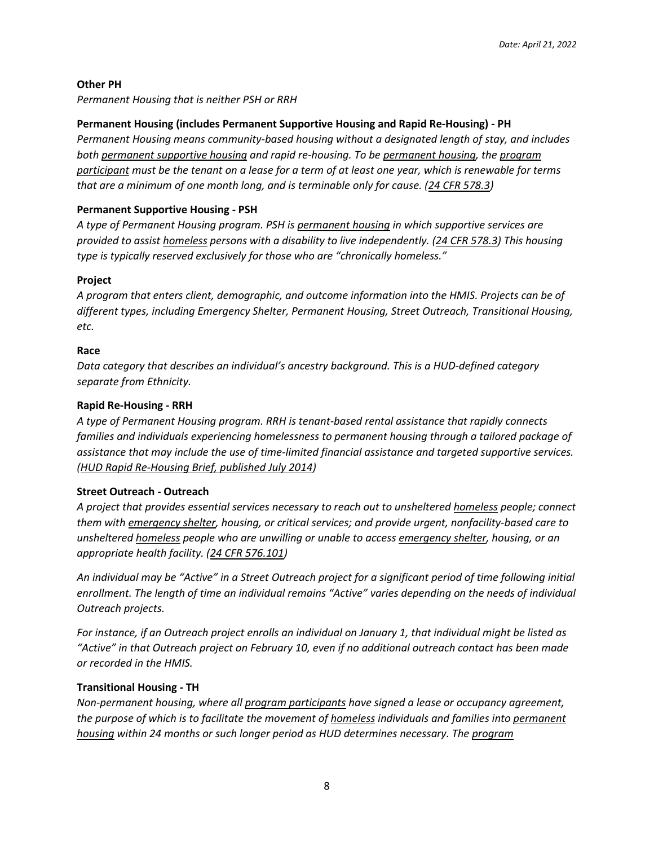# **Other PH**

*Permanent Housing that is neither PSH or RRH*

# **Permanent Housing (includes Permanent Supportive Housing and Rapid Re-Housing) - PH**

*Permanent Housing means community-based housing without a designated length of stay, and includes both [permanent supportive housing](https://www.law.cornell.edu/definitions/index.php?width=840&height=800&iframe=true&def_id=713c6fa442ab779d9e4ff741a2d25f28&term_occur=999&term_src=Title:24:Subtitle:B:Chapter:V:Subchapter:C:Part:578:Subpart:A:578.3) and rapid re-housing. To be [permanent housing,](https://www.law.cornell.edu/definitions/index.php?width=840&height=800&iframe=true&def_id=88992943089e19e438be3cc544bb2d51&term_occur=999&term_src=Title:24:Subtitle:B:Chapter:V:Subchapter:C:Part:578:Subpart:A:578.3) the [program](https://www.law.cornell.edu/definitions/index.php?width=840&height=800&iframe=true&def_id=5fe2647a484b6a6e9d5d23c02317cae0&term_occur=999&term_src=Title:24:Subtitle:B:Chapter:V:Subchapter:C:Part:578:Subpart:A:578.3)  [participant](https://www.law.cornell.edu/definitions/index.php?width=840&height=800&iframe=true&def_id=5fe2647a484b6a6e9d5d23c02317cae0&term_occur=999&term_src=Title:24:Subtitle:B:Chapter:V:Subchapter:C:Part:578:Subpart:A:578.3) must be the tenant on a lease for a term of at least one year, which is renewable for terms that are a minimum of one month long, and is terminable only for cause. [\(24 CFR 578.3\)](https://www.law.cornell.edu/cfr/text/24/578.3)* 

# **Permanent Supportive Housing - PSH**

*A type of Permanent Housing program. PSH is [permanent housing](https://www.law.cornell.edu/definitions/index.php?width=840&height=800&iframe=true&def_id=88992943089e19e438be3cc544bb2d51&term_occur=999&term_src=Title:24:Subtitle:B:Chapter:V:Subchapter:C:Part:578:Subpart:A:578.3) in which supportive services are provided to assist [homeless](https://www.law.cornell.edu/definitions/index.php?width=840&height=800&iframe=true&def_id=da1f15b500b4abf5b417c094db4e4377&term_occur=999&term_src=Title:24:Subtitle:B:Chapter:V:Subchapter:C:Part:578:Subpart:A:578.3) persons with a disability to live independently. [\(24 CFR 578.3\)](https://www.law.cornell.edu/cfr/text/24/578.3) This housing type is typically reserved exclusively for those who are "chronically homeless."*

# **Project**

*A program that enters client, demographic, and outcome information into the HMIS. Projects can be of different types, including Emergency Shelter, Permanent Housing, Street Outreach, Transitional Housing, etc.*

# **Race**

*Data category that describes an individual's ancestry background. This is a HUD-defined category separate from Ethnicity.*

# **Rapid Re-Housing - RRH**

*A type of Permanent Housing program. RRH is tenant-based rental assistance that rapidly connects families and individuals experiencing homelessness to permanent housing through a tailored package of assistance that may include the use of time-limited financial assistance and targeted supportive services. [\(HUD Rapid Re-Housing Brief, published July 2014\)](https://files.hudexchange.info/resources/documents/Rapid-Re-Housing-Brief.pdf)* 

# **Street Outreach - Outreach**

*A project that provides essential services necessary to reach out to unsheltered [homeless](https://www.law.cornell.edu/definitions/index.php?width=840&height=800&iframe=true&def_id=8a2903afec40afebcdb6176134d13480&term_occur=999&term_src=Title:24:Subtitle:B:Chapter:V:Subchapter:C:Part:576:Subpart:B:576.101) people; connect them with [emergency shelter,](https://www.law.cornell.edu/definitions/index.php?width=840&height=800&iframe=true&def_id=20178e7fe943704fce821ca932530fa8&term_occur=999&term_src=Title:24:Subtitle:B:Chapter:V:Subchapter:C:Part:576:Subpart:B:576.101) housing, or critical services; and provide urgent, nonfacility-based care to unsheltered [homeless](https://www.law.cornell.edu/definitions/index.php?width=840&height=800&iframe=true&def_id=8a2903afec40afebcdb6176134d13480&term_occur=999&term_src=Title:24:Subtitle:B:Chapter:V:Subchapter:C:Part:576:Subpart:B:576.101) people who are unwilling or unable to access [emergency shelter,](https://www.law.cornell.edu/definitions/index.php?width=840&height=800&iframe=true&def_id=20178e7fe943704fce821ca932530fa8&term_occur=999&term_src=Title:24:Subtitle:B:Chapter:V:Subchapter:C:Part:576:Subpart:B:576.101) housing, or an appropriate health facility. [\(24 CFR 576.101\)](https://www.law.cornell.edu/cfr/text/24/576.101)* 

*An individual may be "Active" in a Street Outreach project for a significant period of time following initial enrollment. The length of time an individual remains "Active" varies depending on the needs of individual Outreach projects.* 

*For instance, if an Outreach project enrolls an individual on January 1, that individual might be listed as "Active" in that Outreach project on February 10, even if no additional outreach contact has been made or recorded in the HMIS.*

# **Transitional Housing - TH**

*Non-permanent housing, where all [program participants](https://www.law.cornell.edu/definitions/index.php?width=840&height=800&iframe=true&def_id=5fe2647a484b6a6e9d5d23c02317cae0&term_occur=999&term_src=Title:24:Subtitle:B:Chapter:V:Subchapter:C:Part:578:Subpart:A:578.3) have signed a lease or occupancy agreement, the purpose of which is to facilitate the movement of [homeless](https://www.law.cornell.edu/definitions/index.php?width=840&height=800&iframe=true&def_id=da1f15b500b4abf5b417c094db4e4377&term_occur=999&term_src=Title:24:Subtitle:B:Chapter:V:Subchapter:C:Part:578:Subpart:A:578.3) individuals and families into [permanent](https://www.law.cornell.edu/definitions/index.php?width=840&height=800&iframe=true&def_id=88992943089e19e438be3cc544bb2d51&term_occur=999&term_src=Title:24:Subtitle:B:Chapter:V:Subchapter:C:Part:578:Subpart:A:578.3)  [housing](https://www.law.cornell.edu/definitions/index.php?width=840&height=800&iframe=true&def_id=88992943089e19e438be3cc544bb2d51&term_occur=999&term_src=Title:24:Subtitle:B:Chapter:V:Subchapter:C:Part:578:Subpart:A:578.3) within 24 months or such longer period as HUD determines necessary. The [program](https://www.law.cornell.edu/definitions/index.php?width=840&height=800&iframe=true&def_id=5fe2647a484b6a6e9d5d23c02317cae0&term_occur=999&term_src=Title:24:Subtitle:B:Chapter:V:Subchapter:C:Part:578:Subpart:A:578.3)*